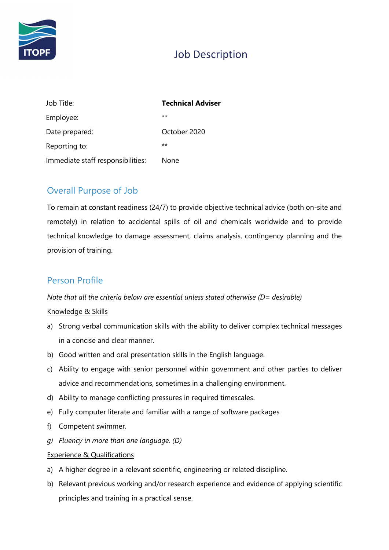

# Job Description

| Job Title:                        | <b>Technical Adviser</b> |
|-----------------------------------|--------------------------|
| Employee:                         | $***$                    |
| Date prepared:                    | October 2020             |
| Reporting to:                     | $**$                     |
| Immediate staff responsibilities: | None                     |

## Overall Purpose of Job

To remain at constant readiness (24/7) to provide objective technical advice (both on-site and remotely) in relation to accidental spills of oil and chemicals worldwide and to provide technical knowledge to damage assessment, claims analysis, contingency planning and the provision of training.

# Person Profile

Note that all the criteria below are essential unless stated otherwise ( $D =$  desirable)

### Knowledge & Skills

- a) Strong verbal communication skills with the ability to deliver complex technical messages in a concise and clear manner.
- b) Good written and oral presentation skills in the English language.
- c) Ability to engage with senior personnel within government and other parties to deliver advice and recommendations, sometimes in a challenging environment.
- d) Ability to manage conflicting pressures in required timescales.
- e) Fully computer literate and familiar with a range of software packages
- f) Competent swimmer.
- g) Fluency in more than one language. (D)

### Experience & Qualifications

- a) A higher degree in a relevant scientific, engineering or related discipline.
- b) Relevant previous working and/or research experience and evidence of applying scientific principles and training in a practical sense.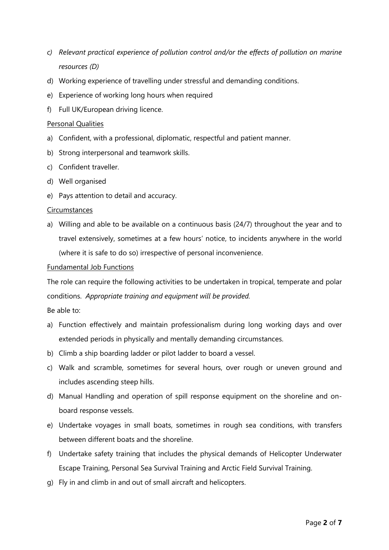- c) Relevant practical experience of pollution control and/or the effects of pollution on marine resources (D)
- d) Working experience of travelling under stressful and demanding conditions.
- e) Experience of working long hours when required
- f) Full UK/European driving licence.

#### Personal Qualities

- a) Confident, with a professional, diplomatic, respectful and patient manner.
- b) Strong interpersonal and teamwork skills.
- c) Confident traveller.
- d) Well organised
- e) Pays attention to detail and accuracy.

#### **Circumstances**

a) Willing and able to be available on a continuous basis (24/7) throughout the year and to travel extensively, sometimes at a few hours' notice, to incidents anywhere in the world (where it is safe to do so) irrespective of personal inconvenience.

#### Fundamental Job Functions

The role can require the following activities to be undertaken in tropical, temperate and polar conditions. Appropriate training and equipment will be provided.

Be able to:

- a) Function effectively and maintain professionalism during long working days and over extended periods in physically and mentally demanding circumstances.
- b) Climb a ship boarding ladder or pilot ladder to board a vessel.
- c) Walk and scramble, sometimes for several hours, over rough or uneven ground and includes ascending steep hills.
- d) Manual Handling and operation of spill response equipment on the shoreline and onboard response vessels.
- e) Undertake voyages in small boats, sometimes in rough sea conditions, with transfers between different boats and the shoreline.
- f) Undertake safety training that includes the physical demands of Helicopter Underwater Escape Training, Personal Sea Survival Training and Arctic Field Survival Training.
- g) Fly in and climb in and out of small aircraft and helicopters.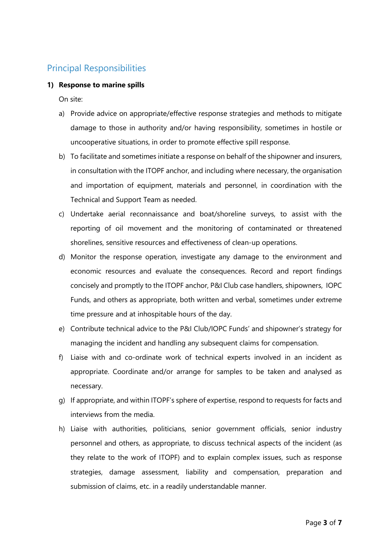# Principal Responsibilities

### 1) Response to marine spills

On site:

- a) Provide advice on appropriate/effective response strategies and methods to mitigate damage to those in authority and/or having responsibility, sometimes in hostile or uncooperative situations, in order to promote effective spill response.
- b) To facilitate and sometimes initiate a response on behalf of the shipowner and insurers, in consultation with the ITOPF anchor, and including where necessary, the organisation and importation of equipment, materials and personnel, in coordination with the Technical and Support Team as needed.
- c) Undertake aerial reconnaissance and boat/shoreline surveys, to assist with the reporting of oil movement and the monitoring of contaminated or threatened shorelines, sensitive resources and effectiveness of clean-up operations.
- d) Monitor the response operation, investigate any damage to the environment and economic resources and evaluate the consequences. Record and report findings concisely and promptly to the ITOPF anchor, P&I Club case handlers, shipowners, IOPC Funds, and others as appropriate, both written and verbal, sometimes under extreme time pressure and at inhospitable hours of the day.
- e) Contribute technical advice to the P&I Club/IOPC Funds' and shipowner's strategy for managing the incident and handling any subsequent claims for compensation.
- f) Liaise with and co-ordinate work of technical experts involved in an incident as appropriate. Coordinate and/or arrange for samples to be taken and analysed as necessary.
- g) If appropriate, and within ITOPF's sphere of expertise, respond to requests for facts and interviews from the media.
- h) Liaise with authorities, politicians, senior government officials, senior industry personnel and others, as appropriate, to discuss technical aspects of the incident (as they relate to the work of ITOPF) and to explain complex issues, such as response strategies, damage assessment, liability and compensation, preparation and submission of claims, etc. in a readily understandable manner.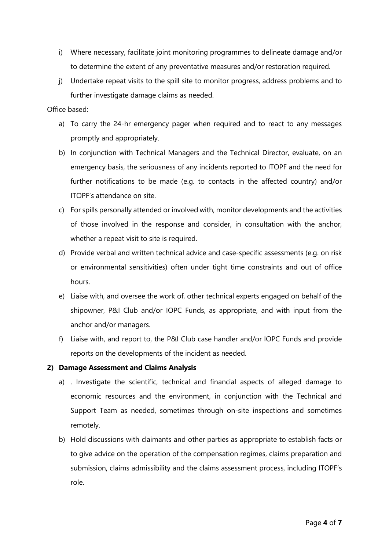- i) Where necessary, facilitate joint monitoring programmes to delineate damage and/or to determine the extent of any preventative measures and/or restoration required.
- j) Undertake repeat visits to the spill site to monitor progress, address problems and to further investigate damage claims as needed.

### Office based:

- a) To carry the 24-hr emergency pager when required and to react to any messages promptly and appropriately.
- b) In conjunction with Technical Managers and the Technical Director, evaluate, on an emergency basis, the seriousness of any incidents reported to ITOPF and the need for further notifications to be made (e.g. to contacts in the affected country) and/or ITOPF's attendance on site.
- c) For spills personally attended or involved with, monitor developments and the activities of those involved in the response and consider, in consultation with the anchor, whether a repeat visit to site is required.
- d) Provide verbal and written technical advice and case-specific assessments (e.g. on risk or environmental sensitivities) often under tight time constraints and out of office hours.
- e) Liaise with, and oversee the work of, other technical experts engaged on behalf of the shipowner, P&I Club and/or IOPC Funds, as appropriate, and with input from the anchor and/or managers.
- f) Liaise with, and report to, the P&I Club case handler and/or IOPC Funds and provide reports on the developments of the incident as needed.

### 2) Damage Assessment and Claims Analysis

- a) . Investigate the scientific, technical and financial aspects of alleged damage to economic resources and the environment, in conjunction with the Technical and Support Team as needed, sometimes through on-site inspections and sometimes remotely.
- b) Hold discussions with claimants and other parties as appropriate to establish facts or to give advice on the operation of the compensation regimes, claims preparation and submission, claims admissibility and the claims assessment process, including ITOPF's role.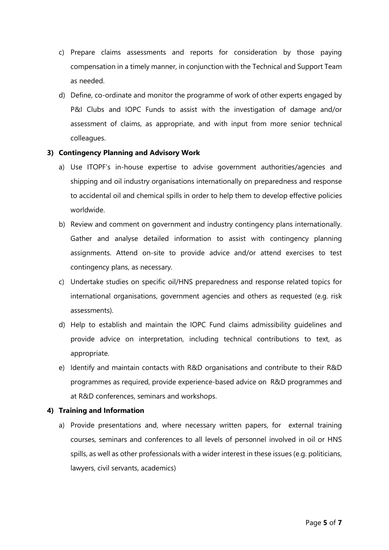- c) Prepare claims assessments and reports for consideration by those paying compensation in a timely manner, in conjunction with the Technical and Support Team as needed.
- d) Define, co-ordinate and monitor the programme of work of other experts engaged by P&I Clubs and IOPC Funds to assist with the investigation of damage and/or assessment of claims, as appropriate, and with input from more senior technical colleagues.

### 3) Contingency Planning and Advisory Work

- a) Use ITOPF's in-house expertise to advise government authorities/agencies and shipping and oil industry organisations internationally on preparedness and response to accidental oil and chemical spills in order to help them to develop effective policies worldwide.
- b) Review and comment on government and industry contingency plans internationally. Gather and analyse detailed information to assist with contingency planning assignments. Attend on-site to provide advice and/or attend exercises to test contingency plans, as necessary.
- c) Undertake studies on specific oil/HNS preparedness and response related topics for international organisations, government agencies and others as requested (e.g. risk assessments).
- d) Help to establish and maintain the IOPC Fund claims admissibility guidelines and provide advice on interpretation, including technical contributions to text, as appropriate.
- e) Identify and maintain contacts with R&D organisations and contribute to their R&D programmes as required, provide experience-based advice on R&D programmes and at R&D conferences, seminars and workshops.

### 4) Training and Information

a) Provide presentations and, where necessary written papers, for external training courses, seminars and conferences to all levels of personnel involved in oil or HNS spills, as well as other professionals with a wider interest in these issues (e.g. politicians, lawyers, civil servants, academics)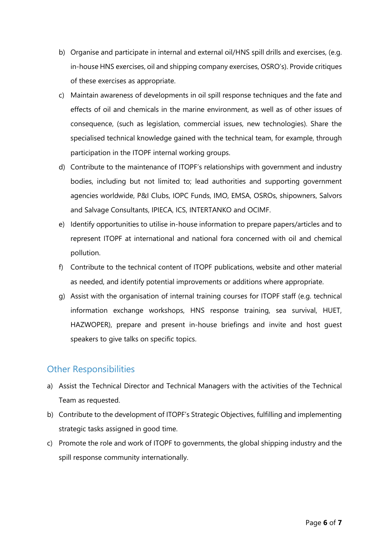- b) Organise and participate in internal and external oil/HNS spill drills and exercises, (e.g. in-house HNS exercises, oil and shipping company exercises, OSRO's). Provide critiques of these exercises as appropriate.
- c) Maintain awareness of developments in oil spill response techniques and the fate and effects of oil and chemicals in the marine environment, as well as of other issues of consequence, (such as legislation, commercial issues, new technologies). Share the specialised technical knowledge gained with the technical team, for example, through participation in the ITOPF internal working groups.
- d) Contribute to the maintenance of ITOPF's relationships with government and industry bodies, including but not limited to; lead authorities and supporting government agencies worldwide, P&I Clubs, IOPC Funds, IMO, EMSA, OSROs, shipowners, Salvors and Salvage Consultants, IPIECA, ICS, INTERTANKO and OCIMF.
- e) Identify opportunities to utilise in-house information to prepare papers/articles and to represent ITOPF at international and national fora concerned with oil and chemical pollution.
- f) Contribute to the technical content of ITOPF publications, website and other material as needed, and identify potential improvements or additions where appropriate.
- g) Assist with the organisation of internal training courses for ITOPF staff (e.g. technical information exchange workshops, HNS response training, sea survival, HUET, HAZWOPER), prepare and present in-house briefings and invite and host guest speakers to give talks on specific topics.

### Other Responsibilities

- a) Assist the Technical Director and Technical Managers with the activities of the Technical Team as requested.
- b) Contribute to the development of ITOPF's Strategic Objectives, fulfilling and implementing strategic tasks assigned in good time.
- c) Promote the role and work of ITOPF to governments, the global shipping industry and the spill response community internationally.